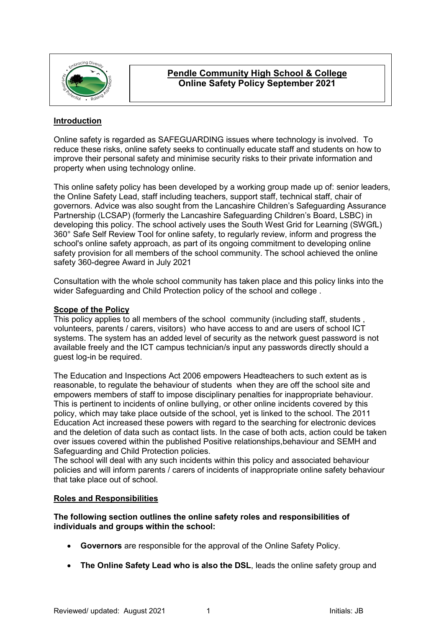

# **Pendle Community High School & College Online Safety Policy September 2021**

# **Introduction**

Online safety is regarded as SAFEGUARDING issues where technology is involved. To reduce these risks, online safety seeks to continually educate staff and students on how to improve their personal safety and minimise security risks to their private information and property when using technology online.

This online safety policy has been developed by a working group made up of: senior leaders, the Online Safety Lead, staff including teachers, support staff, technical staff, chair of governors. Advice was also sought from the Lancashire Children's Safeguarding Assurance Partnership (LCSAP) (formerly the Lancashire Safeguarding Children's Board, LSBC) in developing this policy. The school actively uses the South West Grid for Learning (SWGfL) 360° Safe Self Review Tool for online safety, to regularly review, inform and progress the school's online safety approach, as part of its ongoing commitment to developing online safety provision for all members of the school community. The school achieved the online safety 360-degree Award in July 2021

Consultation with the whole school community has taken place and this policy links into the wider Safeguarding and Child Protection policy of the school and college .

### **Scope of the Policy**

This policy applies to all members of the school community (including staff, students , volunteers, parents / carers, visitors) who have access to and are users of school ICT systems. The system has an added level of security as the network guest password is not available freely and the ICT campus technician/s input any passwords directly should a guest log-in be required.

The Education and Inspections Act 2006 empowers Headteachers to such extent as is reasonable, to regulate the behaviour of students when they are off the school site and empowers members of staff to impose disciplinary penalties for inappropriate behaviour. This is pertinent to incidents of online bullying, or other online incidents covered by this policy, which may take place outside of the school, yet is linked to the school. The 2011 Education Act increased these powers with regard to the searching for electronic devices and the deletion of data such as contact lists. In the case of both acts, action could be taken over issues covered within the published Positive relationships,behaviour and SEMH and Safeguarding and Child Protection policies.

The school will deal with any such incidents within this policy and associated behaviour policies and will inform parents / carers of incidents of inappropriate online safety behaviour that take place out of school.

## **Roles and Responsibilities**

## **The following section outlines the online safety roles and responsibilities of individuals and groups within the school:**

- **Governors** are responsible for the approval of the Online Safety Policy.
- **The Online Safety Lead who is also the DSL**, leads the online safety group and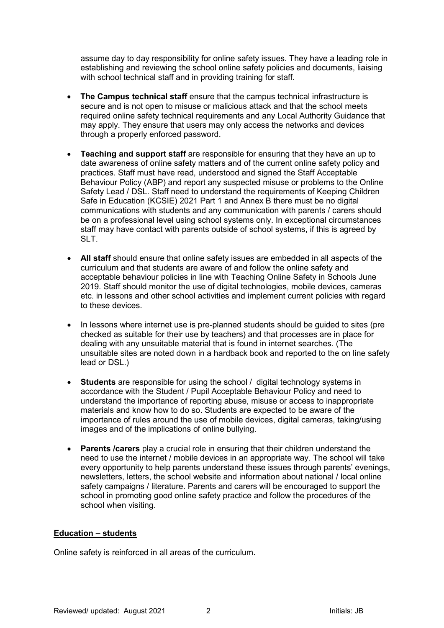assume day to day responsibility for online safety issues. They have a leading role in establishing and reviewing the school online safety policies and documents, liaising with school technical staff and in providing training for staff.

- **The Campus technical staff** ensure that the campus technical infrastructure is secure and is not open to misuse or malicious attack and that the school meets required online safety technical requirements and any Local Authority Guidance that may apply. They ensure that users may only access the networks and devices through a properly enforced password.
- **Teaching and support staff** are responsible for ensuring that they have an up to date awareness of online safety matters and of the current online safety policy and practices. Staff must have read, understood and signed the Staff Acceptable Behaviour Policy (ABP) and report any suspected misuse or problems to the Online Safety Lead / DSL. Staff need to understand the requirements of Keeping Children Safe in Education (KCSIE) 2021 Part 1 and Annex B there must be no digital communications with students and any communication with parents / carers should be on a professional level using school systems only. In exceptional circumstances staff may have contact with parents outside of school systems, if this is agreed by SLT.
- **All staff** should ensure that online safety issues are embedded in all aspects of the curriculum and that students are aware of and follow the online safety and acceptable behaviour policies in line with Teaching Online Safety in Schools June 2019. Staff should monitor the use of digital technologies, mobile devices, cameras etc. in lessons and other school activities and implement current policies with regard to these devices.
- In lessons where internet use is pre-planned students should be guided to sites (pre checked as suitable for their use by teachers) and that processes are in place for dealing with any unsuitable material that is found in internet searches. (The unsuitable sites are noted down in a hardback book and reported to the on line safety lead or DSL.)
- **Students** are responsible for using the school / digital technology systems in accordance with the Student / Pupil Acceptable Behaviour Policy and need to understand the importance of reporting abuse, misuse or access to inappropriate materials and know how to do so. Students are expected to be aware of the importance of rules around the use of mobile devices, digital cameras, taking/using images and of the implications of online bullying.
- **Parents /carers** play a crucial role in ensuring that their children understand the need to use the internet / mobile devices in an appropriate way. The school will take every opportunity to help parents understand these issues through parents' evenings, newsletters, letters, the school website and information about national / local online safety campaigns / literature. Parents and carers will be encouraged to support the school in promoting good online safety practice and follow the procedures of the school when visiting.

## **Education – students**

Online safety is reinforced in all areas of the curriculum.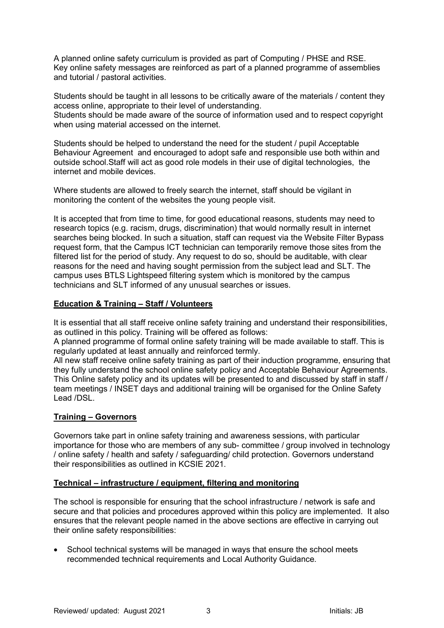A planned online safety curriculum is provided as part of Computing / PHSE and RSE. Key online safety messages are reinforced as part of a planned programme of assemblies and tutorial / pastoral activities.

Students should be taught in all lessons to be critically aware of the materials / content they access online, appropriate to their level of understanding.

Students should be made aware of the source of information used and to respect copyright when using material accessed on the internet.

Students should be helped to understand the need for the student / pupil Acceptable Behaviour Agreement and encouraged to adopt safe and responsible use both within and outside school.Staff will act as good role models in their use of digital technologies, the internet and mobile devices.

Where students are allowed to freely search the internet, staff should be vigilant in monitoring the content of the websites the young people visit.

It is accepted that from time to time, for good educational reasons, students may need to research topics (e.g. racism, drugs, discrimination) that would normally result in internet searches being blocked. In such a situation, staff can request via the Website Filter Bypass request form, that the Campus ICT technician can temporarily remove those sites from the filtered list for the period of study. Any request to do so, should be auditable, with clear reasons for the need and having sought permission from the subject lead and SLT. The campus uses BTLS Lightspeed filtering system which is monitored by the campus technicians and SLT informed of any unusual searches or issues.

## **Education & Training – Staff / Volunteers**

It is essential that all staff receive online safety training and understand their responsibilities, as outlined in this policy. Training will be offered as follows:

A planned programme of formal online safety training will be made available to staff. This is regularly updated at least annually and reinforced termly.

All new staff receive online safety training as part of their induction programme, ensuring that they fully understand the school online safety policy and Acceptable Behaviour Agreements. This Online safety policy and its updates will be presented to and discussed by staff in staff / team meetings / INSET days and additional training will be organised for the Online Safety Lead /DSL.

## **Training – Governors**

Governors take part in online safety training and awareness sessions, with particular importance for those who are members of any sub- committee / group involved in technology / online safety / health and safety / safeguarding/ child protection. Governors understand their responsibilities as outlined in KCSIE 2021.

## **Technical – infrastructure / equipment, filtering and monitoring**

The school is responsible for ensuring that the school infrastructure / network is safe and secure and that policies and procedures approved within this policy are implemented. It also ensures that the relevant people named in the above sections are effective in carrying out their online safety responsibilities:

• School technical systems will be managed in ways that ensure the school meets recommended technical requirements and Local Authority Guidance.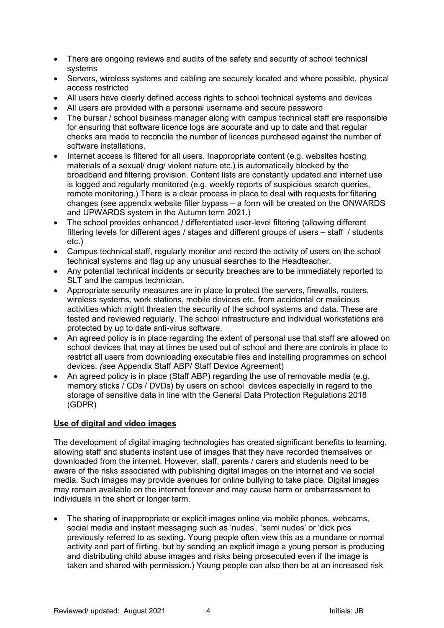- There are ongoing reviews and audits of the safety and security of school technical systems
- Servers, wireless systems and cabling are securely located and where possible, physical access restricted
- All users have clearly defined access rights to school technical systems and devices
- All users are provided with a personal username and secure password
- The bursar / school business manager along with campus technical staff are responsible for ensuring that software licence logs are accurate and up to date and that regular checks are made to reconcile the number of licences purchased against the number of software installations.
- Internet access is filtered for all users. Inappropriate content (e.g. websites hosting materials of a sexual/ drug/ violent nature etc.) is automatically blocked by the broadband and filtering provision. Content lists are constantly updated and internet use is logged and regularly monitored (e.g. weekly reports of suspicious search queries, remote monitoring.) There is a clear process in place to deal with requests for filtering changes (see appendix website filter bypass – a form will be created on the ONWARDS and UPWARDS system in the Autumn term 2021.)
- The school provides enhanced / differentiated user-level filtering (allowing different filtering levels for different ages / stages and different groups of users – staff / students etc.)
- Campus technical staff, regularly monitor and record the activity of users on the school technical systems and flag up any unusual searches to the Headteacher.
- Any potential technical incidents or security breaches are to be immediately reported to SLT and the campus technician.
- Appropriate security measures are in place to protect the servers, firewalls, routers, wireless systems, work stations, mobile devices etc. from accidental or malicious activities which might threaten the security of the school systems and data. These are tested and reviewed regularly. The school infrastructure and individual workstations are protected by up to date anti-virus software.
- An agreed policy is in place regarding the extent of personal use that staff are allowed on school devices that may at times be used out of school and there are controls in place to restrict all users from downloading executable files and installing programmes on school devices. *(*see Appendix Staff ABP/ Staff Device Agreement)
- An agreed policy is in place (Staff ABP) regarding the use of removable media (e.g. memory sticks / CDs / DVDs) by users on school devices especially in regard to the storage of sensitive data in line with the General Data Protection Regulations 2018 (GDPR)

## **Use of digital and video images**

The development of digital imaging technologies has created significant benefits to learning, allowing staff and students instant use of images that they have recorded themselves or downloaded from the internet. However, staff, parents / carers and students need to be aware of the risks associated with publishing digital images on the internet and via social media. Such images may provide avenues for online bullying to take place. Digital images may remain available on the internet forever and may cause harm or embarrassment to individuals in the short or longer term.

• The sharing of inappropriate or explicit images online via mobile phones, webcams, social media and instant messaging such as 'nudes', 'semi nudes' or 'dick pics' previously referred to as sexting. Young people often view this as a mundane or normal activity and part of flirting, but by sending an explicit image a young person is producing and distributing child abuse images and risks being prosecuted even if the image is taken and shared with permission.) Young people can also then be at an increased risk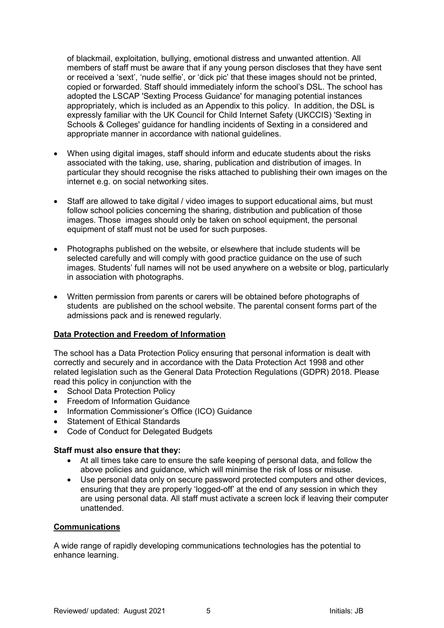of blackmail, exploitation, bullying, emotional distress and unwanted attention. All members of staff must be aware that if any young person discloses that they have sent or received a 'sext', 'nude selfie', or 'dick pic' that these images should not be printed, copied or forwarded. Staff should immediately inform the school's DSL. The school has adopted the LSCAP 'Sexting Process Guidance' for managing potential instances appropriately, which is included as an Appendix to this policy. In addition, the DSL is expressly familiar with the UK Council for Child Internet Safety (UKCCIS) 'Sexting in Schools & Colleges' guidance for handling incidents of Sexting in a considered and appropriate manner in accordance with national guidelines.

- When using digital images, staff should inform and educate students about the risks associated with the taking, use, sharing, publication and distribution of images. In particular they should recognise the risks attached to publishing their own images on the internet e.g. on social networking sites.
- Staff are allowed to take digital / video images to support educational aims, but must follow school policies concerning the sharing, distribution and publication of those images. Those images should only be taken on school equipment, the personal equipment of staff must not be used for such purposes.
- Photographs published on the website, or elsewhere that include students will be selected carefully and will comply with good practice guidance on the use of such images. Students' full names will not be used anywhere on a website or blog, particularly in association with photographs.
- Written permission from parents or carers will be obtained before photographs of students are published on the school website. The parental consent forms part of the admissions pack and is renewed regularly.

## **Data Protection and Freedom of Information**

The school has a Data Protection Policy ensuring that personal information is dealt with correctly and securely and in accordance with the Data Protection Act 1998 and other related legislation such as the General Data Protection Regulations (GDPR) 2018. Please read this policy in conjunction with the

- School Data Protection Policy
- Freedom of Information Guidance
- Information Commissioner's Office (ICO) Guidance
- Statement of Ethical Standards
- Code of Conduct for Delegated Budgets

#### **Staff must also ensure that they:**

- At all times take care to ensure the safe keeping of personal data, and follow the above policies and guidance, which will minimise the risk of loss or misuse.
- Use personal data only on secure password protected computers and other devices, ensuring that they are properly 'logged-off' at the end of any session in which they are using personal data. All staff must activate a screen lock if leaving their computer unattended.

#### **Communications**

A wide range of rapidly developing communications technologies has the potential to enhance learning.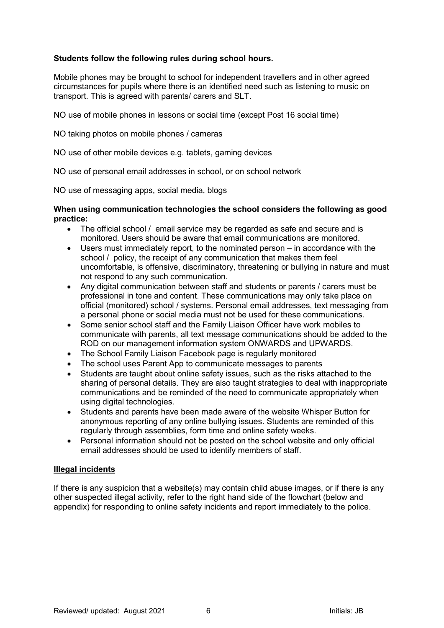## **Students follow the following rules during school hours.**

Mobile phones may be brought to school for independent travellers and in other agreed circumstances for pupils where there is an identified need such as listening to music on transport. This is agreed with parents/ carers and SLT.

NO use of mobile phones in lessons or social time (except Post 16 social time)

NO taking photos on mobile phones / cameras

NO use of other mobile devices e.g. tablets, gaming devices

NO use of personal email addresses in school, or on school network

NO use of messaging apps, social media, blogs

#### **When using communication technologies the school considers the following as good practice:**

- The official school / email service may be regarded as safe and secure and is monitored. Users should be aware that email communications are monitored.
- Users must immediately report, to the nominated person in accordance with the school / policy, the receipt of any communication that makes them feel uncomfortable, is offensive, discriminatory, threatening or bullying in nature and must not respond to any such communication.
- Any digital communication between staff and students or parents / carers must be professional in tone and content. These communications may only take place on official (monitored) school / systems. Personal email addresses, text messaging from a personal phone or social media must not be used for these communications.
- Some senior school staff and the Family Liaison Officer have work mobiles to communicate with parents, all text message communications should be added to the ROD on our management information system ONWARDS and UPWARDS.
- The School Family Liaison Facebook page is regularly monitored<br>• The school uses Parent Ann to communicate messages to parent
- The school uses Parent App to communicate messages to parents
- Students are taught about online safety issues, such as the risks attached to the sharing of personal details. They are also taught strategies to deal with inappropriate communications and be reminded of the need to communicate appropriately when using digital technologies.
- Students and parents have been made aware of the website Whisper Button for anonymous reporting of any online bullying issues. Students are reminded of this regularly through assemblies, form time and online safety weeks.
- Personal information should not be posted on the school website and only official email addresses should be used to identify members of staff.

## **Illegal incidents**

If there is any suspicion that a website(s) may contain child abuse images, or if there is any other suspected illegal activity, refer to the right hand side of the flowchart (below and appendix) for responding to online safety incidents and report immediately to the police.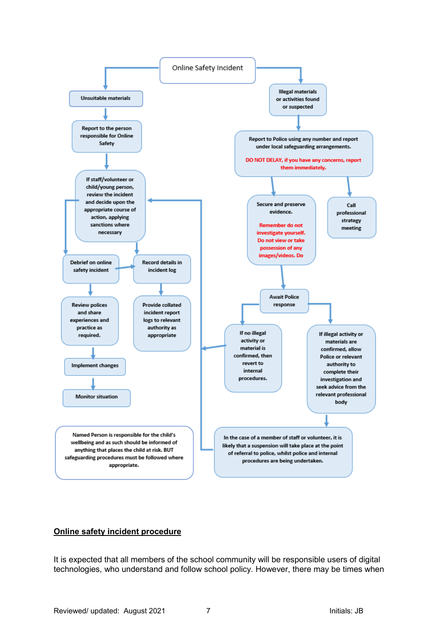

## **Online safety incident procedure**

It is expected that all members of the school community will be responsible users of digital technologies, who understand and follow school policy. However, there may be times when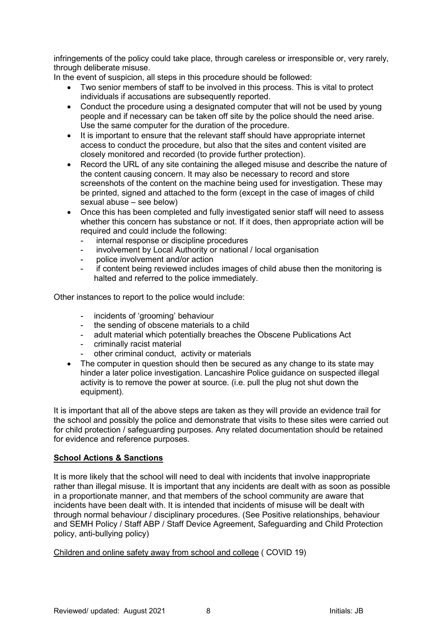infringements of the policy could take place, through careless or irresponsible or, very rarely, through deliberate misuse.

In the event of suspicion, all steps in this procedure should be followed:

- Two senior members of staff to be involved in this process. This is vital to protect individuals if accusations are subsequently reported.
- Conduct the procedure using a designated computer that will not be used by young people and if necessary can be taken off site by the police should the need arise. Use the same computer for the duration of the procedure.
- It is important to ensure that the relevant staff should have appropriate internet access to conduct the procedure, but also that the sites and content visited are closely monitored and recorded (to provide further protection).
- Record the URL of any site containing the alleged misuse and describe the nature of the content causing concern. It may also be necessary to record and store screenshots of the content on the machine being used for investigation. These may be printed, signed and attached to the form (except in the case of images of child sexual abuse – see below)
- Once this has been completed and fully investigated senior staff will need to assess whether this concern has substance or not. If it does, then appropriate action will be required and could include the following:
	- internal response or discipline procedures
	- involvement by Local Authority or national / local organisation
	- police involvement and/or action
	- if content being reviewed includes images of child abuse then the monitoring is halted and referred to the police immediately.

Other instances to report to the police would include:

- incidents of 'grooming' behaviour
- the sending of obscene materials to a child
- adult material which potentially breaches the Obscene Publications Act<br>- criminally racist material
- criminally racist material
- other criminal conduct, activity or materials
- The computer in question should then be secured as any change to its state may hinder a later police investigation. Lancashire Police guidance on suspected illegal activity is to remove the power at source. (i.e. pull the plug not shut down the equipment).

It is important that all of the above steps are taken as they will provide an evidence trail for the school and possibly the police and demonstrate that visits to these sites were carried out for child protection / safeguarding purposes. Any related documentation should be retained for evidence and reference purposes.

#### **School Actions & Sanctions**

It is more likely that the school will need to deal with incidents that involve inappropriate rather than illegal misuse. It is important that any incidents are dealt with as soon as possible in a proportionate manner, and that members of the school community are aware that incidents have been dealt with. It is intended that incidents of misuse will be dealt with through normal behaviour / disciplinary procedures. (See Positive relationships, behaviour and SEMH Policy / Staff ABP / Staff Device Agreement, Safeguarding and Child Protection policy, anti-bullying policy)

Children and online safety away from school and college ( COVID 19)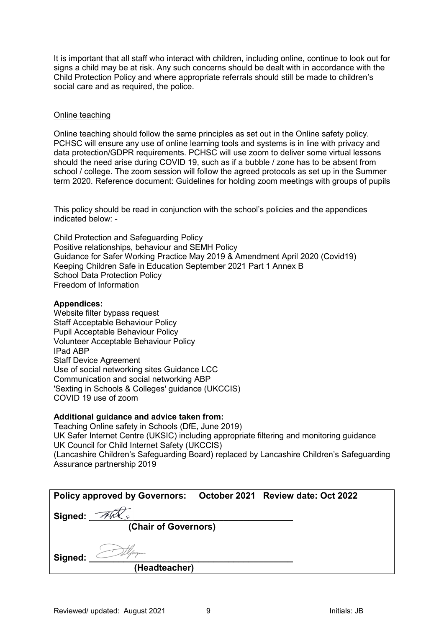It is important that all staff who interact with children, including online, continue to look out for signs a child may be at risk. Any such concerns should be dealt with in accordance with the Child Protection Policy and where appropriate referrals should still be made to children's social care and as required, the police.

### Online teaching

Online teaching should follow the same principles as set out in the Online safety policy. PCHSC will ensure any use of online learning tools and systems is in line with privacy and data protection/GDPR requirements. PCHSC will use zoom to deliver some virtual lessons should the need arise during COVID 19, such as if a bubble / zone has to be absent from school / college. The zoom session will follow the agreed protocols as set up in the Summer term 2020. Reference document: Guidelines for holding zoom meetings with groups of pupils

This policy should be read in conjunction with the school's policies and the appendices indicated below: -

Child Protection and Safeguarding Policy Positive relationships, behaviour and SEMH Policy Guidance for Safer Working Practice May 2019 & Amendment April 2020 (Covid19) Keeping Children Safe in Education September 2021 Part 1 Annex B School Data Protection Policy Freedom of Information

#### **Appendices:**

Website filter bypass request Staff Acceptable Behaviour Policy Pupil Acceptable Behaviour Policy Volunteer Acceptable Behaviour Policy IPad ABP Staff Device Agreement Use of social networking sites Guidance LCC Communication and social networking ABP 'Sexting in Schools & Colleges' guidance (UKCCIS) COVID 19 use of zoom

#### **Additional guidance and advice taken from:**

Teaching Online safety in Schools (DfE, June 2019) UK Safer Internet Centre (UKSIC) including appropriate filtering and monitoring guidance UK Council for Child Internet Safety (UKCCIS) (Lancashire Children's Safeguarding Board) replaced by Lancashire Children's Safeguarding Assurance partnership 2019

| Policy approved by Governors: October 2021 Review date: Oct 2022 |                      |  |  |
|------------------------------------------------------------------|----------------------|--|--|
| Signed:                                                          |                      |  |  |
|                                                                  | (Chair of Governors) |  |  |
| Signed:                                                          |                      |  |  |
|                                                                  | (Headteacher)        |  |  |